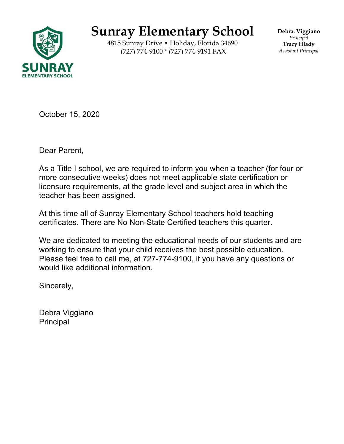

## **Sunray Elementary School**

4815 Sunray Drive • Holiday, Florida 34690 (727) 774-9100 \* (727) 774-9191 FAX

**Debra. Viggiano** *Principal* **Tracy Hlady** *Assistant Principal*

October 15, 2020

Dear Parent,

As a Title I school, we are required to inform you when a teacher (for four or more consecutive weeks) does not meet applicable state certification or licensure requirements, at the grade level and subject area in which the teacher has been assigned.

At this time all of Sunray Elementary School teachers hold teaching certificates. There are No Non-State Certified teachers this quarter.

We are dedicated to meeting the educational needs of our students and are working to ensure that your child receives the best possible education. Please feel free to call me, at 727-774-9100, if you have any questions or would like additional information.

Sincerely,

Debra Viggiano Principal